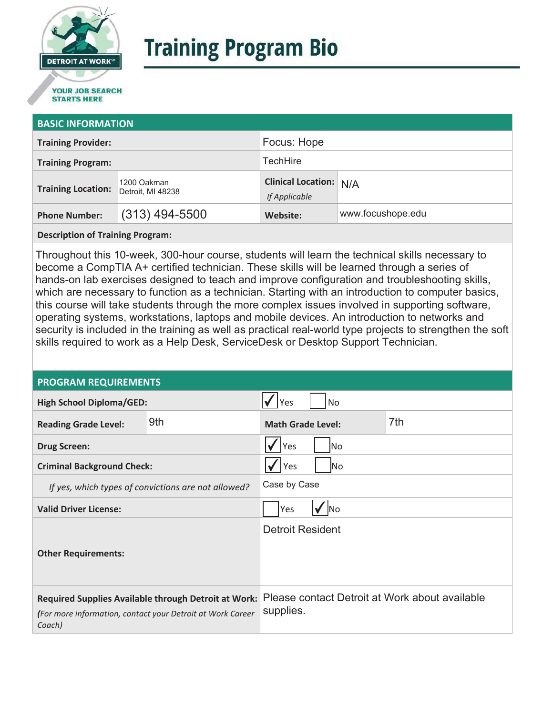

# **Training Program Bio**

## **STARTS HERE**

#### **BASIC INFORMATION**

| <b>Training Provider:</b> |                                  | Focus: Hope                                    |                   |  |
|---------------------------|----------------------------------|------------------------------------------------|-------------------|--|
| <b>Training Program:</b>  |                                  | <b>TechHire</b>                                |                   |  |
| <b>Training Location:</b> | 1200 Oakman<br>Detroit, MI 48238 | <b>Clinical Location: N/A</b><br>If Applicable |                   |  |
| <b>Phone Number:</b>      | $(313)$ 494-5500                 | Website:                                       | www.focushope.edu |  |

**Description of Training Program:** 

Throughout this 10-week, 300-hour course, students will learn the technical skills necessary to become a CompTIA A+ certified technician. These skills will be learned through a series of hands-on lab exercises designed to teach and improve configuration and troubleshooting skills, which are necessary to function as a technician. Starting with an introduction to computer basics, this course will take students through the more complex issues involved in supporting software, operating systems, workstations, laptops and mobile devices. An introduction to networks and security is included in the training as well as practical real-world type projects to strengthen the soft skills required to work as a Help Desk, ServiceDesk or Desktop Support Technician.

#### **PROGRAM REQUIREMENTS**

| <b>High School Diploma/GED:</b>                                                                                              |            | Yes<br>No                       |  |                                                |
|------------------------------------------------------------------------------------------------------------------------------|------------|---------------------------------|--|------------------------------------------------|
| <b>Reading Grade Level:</b>                                                                                                  | 9th        | 7th<br><b>Math Grade Level:</b> |  |                                                |
| <b>Drug Screen:</b>                                                                                                          | Yes<br>lNo |                                 |  |                                                |
| <b>Criminal Background Check:</b>                                                                                            |            | Yes<br> No                      |  |                                                |
| If yes, which types of convictions are not allowed?                                                                          |            | Case by Case                    |  |                                                |
| <b>Valid Driver License:</b>                                                                                                 |            | Yes<br><b>INo</b>               |  |                                                |
| <b>Other Requirements:</b>                                                                                                   |            | <b>Detroit Resident</b>         |  |                                                |
| Required Supplies Available through Detroit at Work:<br>(For more information, contact your Detroit at Work Career<br>Coach) |            | supplies.                       |  | Please contact Detroit at Work about available |